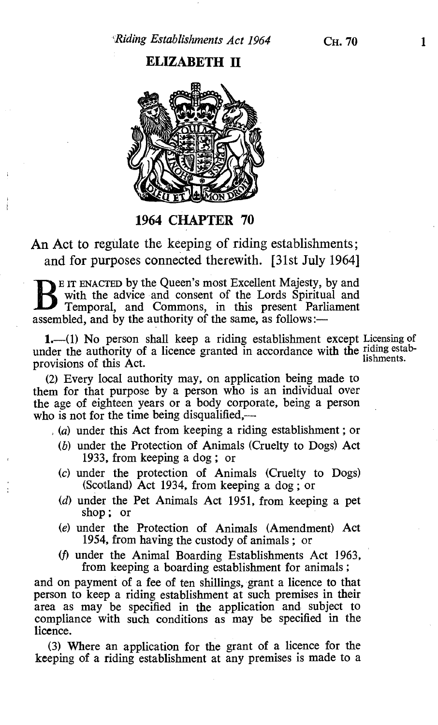

## 1964 CHAPTER 70

An Act to regulate the keeping of riding establishments; and for purposes connected therewith. [31st July 1964]

E IT ENACTED by the Queen's most Excellent Majesty, by and with the advice and consent of the Lords Spiritual and Temporal, and Commons, in this present Parliament assembled, and by the authority of the same, as follows :-

1.-(1) No person shall keep a riding establishment except Licensing of under the authority of a licence granted in accordance with the riding estabprovisions of this Act.

(2) Every local authority may, on application being made to them for that purpose by a person who is an individual over the age of eighteen years or a body corporate, being a person who is not for the time being disqualified, $-$ 

 $(a)$  under this Act from keeping a riding establishment; or

- (b) under the Protection of Animals (Cruelty to Dogs) Act 1933, from keeping a dog ; or
- (c) under the protection of Animals (Cruelty to Dogs) (Scotland) Act 1934, from keeping a dog ; or
- (d) under the Pet Animals Act 1951, from keeping a pet shop ; or
- (e) under the Protection of Animals (Amendment) Act 1954, from having the custody of animals ; or
- (f) under the Animal Boarding Establishments Act 1963, from keeping a boarding establishment for animals ;

and on payment of a fee of ten shillings, grant a licence to that person to keep a riding establishment at such premises in their area as may be specified in the application and subject to compliance with such conditions as may be specified in the licence.

(3) Where an application for the grant of a licence for the keeping of a riding establishment at any premises is made to a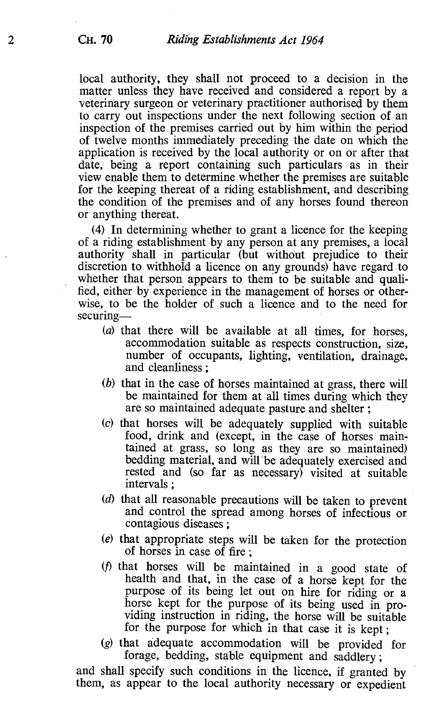local authority, they shall not proceed to a decision in the matter unless they have received and considered a report by a veterinary surgeon or veterinary practitioner authorised by them to carry out inspections under the next following section of an inspection of the premises carried out by him within the period of twelve months immediately preceding the date on which the application is received by the local authority or on or after that date, being a report containing such particulars as in their view enable them to determine whether the premises are suitable for the keeping thereat of a riding establishment, and describing the condition of the premises and of any horses found thereon or anything thereat.

(4) In determining whether to grant a licence for the keeping of a riding establishment by any person at any premises, a local authority shall in particular (but without prejudice to their discretion to withhold a licence on any grounds) have regard . to whether that person appears to them to be suitable and qualified, either by experience in the management of horses or otherwise, to be the holder of such a licence and to the need for securing-

- (a) that there will be available at all times, for horses, accommodation suitable as respects construction, size, number of occupants, lighting, ventilation, drainage, and cleanliness ;
- (b) that in the case of horses maintained at grass, there will be maintained for them at all times during which they are so maintained adequate pasture and shelter;
- (c) that horses will be adequately supplied with suitable food, drink and (except, in the case of horses maintained at grass, so long as they are so maintained) bedding material, and will be adequately exercised and rested and (so far as necessary) visited at suitable intervals ;
- (d) that all reasonable precautions will be taken to prevent and control the spread among horses of infectious or contagious diseases ;
- (e) that appropriate steps will be taken for the protection of horses in case of fire ;
- (f) that horses will be maintained in a good state of health and that, in the case of a horse kept for the purpose of its being let out on hire for riding or a horse kept for the purpose of its being used in providing instruction in riding, the horse will be suitable for the purpose for which in that case it is kept ;
- (g) that adequate accommodation will be provided for forage, bedding, stable equipment and saddlery ;

and shall specify such conditions in the licence, if granted by them, as appear to the local authority necessary or expedient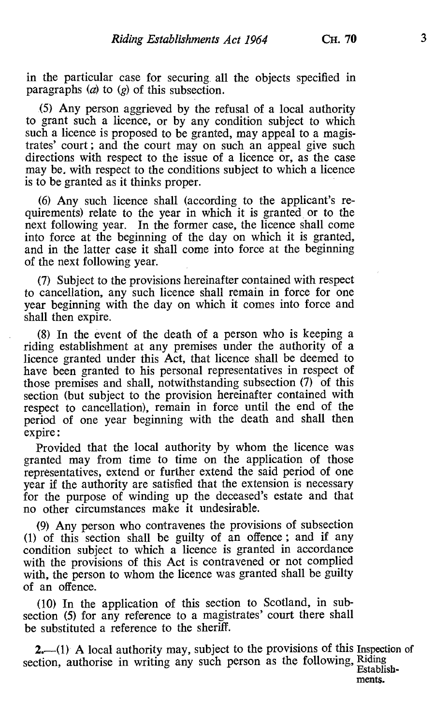in the particular case for securing. all the objects specified in paragraphs  $(a)$  to  $(e)$  of this subsection.

.(5) Any person aggrieved by the refusal of a local authority to grant such a licence, or by any condition subject to which such a licence is proposed to be granted, may appeal to a magistrates' court ; and the court may on such an appeal give such directions with respect to the issue of a licence or, as the case may be, with respect to the conditions subject to which a licence is to be granted as it thinks proper.

(6) Any such licence shall (according to the applicant's requirements) relate to the year in which it is granted, or to the next following year. In the former case, the licence shall come into force at the beginning of the day on which it is granted, and in the latter case it shall come into force at the beginning of the next following year.

(7) Subject to the provisions hereinafter contained with respect to cancellation, any such licence shall remain in force for one year beginning with the day on which it comes into force and shall then expire.

(8) In the event of the death of a person who is keeping a riding establishment at any premises under the authority of a licence granted under this Act, that licence shall be deemed to have been granted to his personal representatives in respect of those premises and shall, notwithstanding subsection (7) of this section (but subject to the provision hereinafter contained with respect to cancellation), remain in force until the end of the period of one year beginning with the death and shall then expire :

Provided that the local authority by whom the licence was granted may from time to time on the application of those representatives, extend or further extend the said period of one year if the authority are satisfied that the extension is necessary for the purpose of winding up the deceased's estate and that no other circumstances make it undesirable.

(9) Any person who contravenes the provisions of subsection (1) of this section shall be guilty of an offence ; and if any condition subject to which a licence is granted in accordance with the provisions of this Act is contravened or not complied with, the person to whom the licence was granted shall be guilty of an offence.

(10) In the application of this section to Scotland, in subsection (5) for any reference to a magistrates' court there shall be substituted a reference to the sheriff.

2.-(1) A local authority may, subject to the provisions of this Inspection of section, authorise in writing any such person as the following,  $Riding$  Establish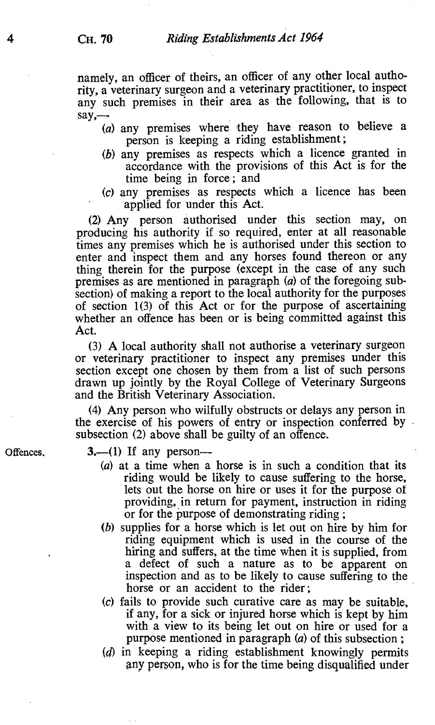namely, an officer of theirs, an officer of any other local authority, a veterinary surgeon and a veterinary practitioner, to inspect any such premises in their area as the following, that is to say,

- (a) any premises where they have reason to believe a person is keeping a riding establishment ;
- (b) any premises as respects which a licence granted in accordance with the provisions of this Act is for the time being in force ; and
- (c) any premises as respects which a licence has been applied for under this Act.

(2) Any person authorised under this section may, on producing his authority if so required, enter at all reasonable times any premises which he is authorised under this section to enter and inspect them and any horses found thereon or any thing therein for the purpose (except in the case of any such premises as are mentioned in paragraph (a) of the foregoing subsection) of making a report to the local authority for the purposes of section 1(3) of this Act or for the purpose of ascertaining whether an offence has been or is being committed against this Act.

(3) A local authority shall not authorise a veterinary surgeon or veterinary practitioner to inspect any premises under this section except one chosen by them from a list of such persons drawn up jointly by the Royal College of Veterinary Surgeons and the British Veterinary Association.

(4) Any person who wilfully obstructs or delays any person in the exercise of his powers of entry or inspection conferred by subsection (2) above shall be guilty of an offence.

Offences.  $3,-(1)$  If any person-

- (a) at a time when a horse is in such a condition that its riding would be likely to cause suffering to the horse, lets out the horse on hire or uses it for the purpose of providing, in return for payment, instruction in riding or for the purpose of demonstrating riding ;
- (b) supplies for a horse which is let out on hire by him for riding equipment which is used in the course of the hiring and suffers, at the time when it is supplied, from a defect of such a nature as to be apparent on inspection and as to be likely to cause suffering to the horse or an accident to the rider;
- (c) fails to provide such curative care as may be suitable, if any, for a sick or injured horse which is kept by him with a view to its being let out on hire or used for a purpose mentioned in paragraph (a) of this subsection ;
- (d) in keeping a riding establishment knowingly permits any person, who is for the time being disqualified under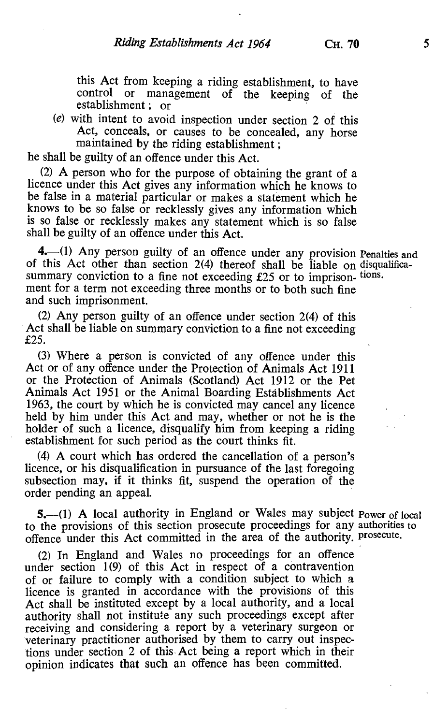this Act from keeping a riding establishment, to have control or management of the keeping of the establishment ; or

(e) with intent to avoid inspection under section 2 of this Act, conceals, or causes to be concealed, any horse maintained by the riding establishment ;

he shall be guilty of an offence under this Act.

(2) A person who for the purpose of obtaining the grant of a licence under this Act gives any information which he knows to be false in a material particular or makes a statement which he knows to be so false or recklessly gives any information which is so false or recklessly makes any statement which is so false shall be guilty of an offence under this Act.

4.-(1) Any person guilty of an offence under any provision Penalties and of this Act other than section 2(4) thereof shall be liable on disqualificasummary conviction to a fine not exceeding £25 or to imprison-tions. ment for a term not exceeding three months or to both such fine and such imprisonment.

(2) Any person guilty of an offence under section 2(4) of this Act shall be liable on summary conviction to a fine not exceeding £25.

(3) Where a person is convicted of any offence under this Act or of any offence under the Protection of Animals Act 1911 or the Protection of Animals (Scotland) Act 1912 or the Pet Animals Act 1951 or the Animal Boarding Establishments Act 1963, the court by which he is convicted may cancel any licence held by him under this Act and may, whether or not he is the holder of such a licence, disqualify him from keeping a riding establishment for such period as the court thinks fit.

(4) A court which has ordered the cancellation of a person's licence, or his disqualification in pursuance of the last foregoing subsection may, if it thinks fit, suspend the operation of the order pending an appeal.

 $5$ —(1) A local authority in England or Wales may subject Power of local to the provisions of this section prosecute proceedings for any authorities to offence under this Act committed in the area of the authority. prosecute.

(2) In England and Wales no proceedings for an offence under section 1(9) of this Act in respect of a contravention of or failure to comply with a condition subject to which a licence is granted in accordance with the provisions of this Act shall be instituted except by a local authority, and a local authority shall not institute any such proceedings except after receiving and considering a report by a veterinary surgeon or veterinary practitioner authorised by them to carry out inspections under section 2 of this Act being a report which in their opinion indicates that such an offence has been committed.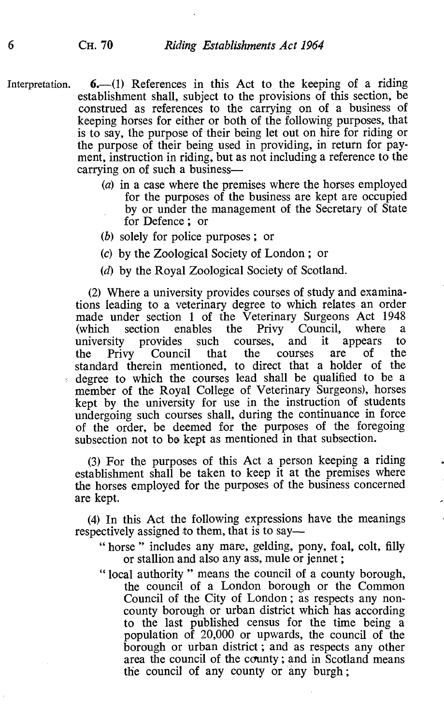Interpretation.  $6-(1)$  References in this Act to the keeping of a riding establishment shall, subject to the provisions of this section, be construed as references to the carrying on of a business of keeping horses for either or both of the following purposes, that is to say, the purpose of their being let out on hire for riding or the purpose of their being used in providing, in return for payment, instruction in riding, but as not including a reference to the carrying on of such a business—

- (a) in a case where the premises where the horses employed for the purposes of the business are kept are occupied by or under the management of the Secretary of State for Defence ; or
- (b) solely for police purposes ; or
- (c) by the Zoological Society of London ; or
- (d) by the Royal Zoological Society of Scotland.

(2) Where a university provides courses of study and examinations leading to a veterinary degree to which relates an order made under section 1 of the Veterinary Surgeons Act 1948<br>(which section enables the Privy Council, where a (which section enables the Privy Council, where a university provides such courses, and it appears to the Privy Council that the courses are of the standard therein mentioned, to direct that a holder of the degree to which the courses lead shall be qualified to be a member of the Royal College of Veterinary Surgeons), horses kept by the university for use in the instruction of students undergoing such courses shall, during the continuance in force of the order, be deemed for the purposes of the foregoing subsection not to be kept as mentioned in that subsection.

(3) For the purposes of this Act a person keeping a riding establishment shall be taken to keep it at the premises where the horses employed for the purposes of the business concerned are kept.

(4) In this Act the following expressions have the meanings respectively assigned to them, that is to say—

- " horse " includes any mare, gelding, pony, foal, colt, filly or stallion and also any ass, mule or jennet ;
- " local authority " means the council of a county borough, the council of a London borough or the Common Council of the City of London ; as respects any noncounty borough or urban district which has according to the last published census for the time being a population of 20,000 or upwards, the council of the borough or urban district ; and as respects any other area the council of the county ; and in Scotland means the council of any county or any burgh ;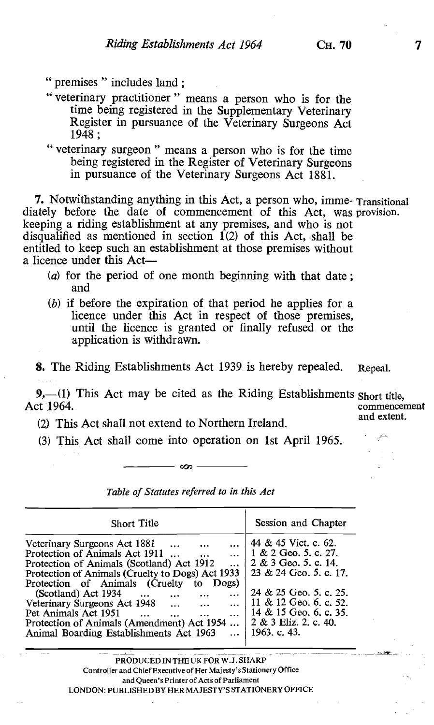- " premises " includes land;
- " veterinary practitioner" means a person who is for the time being registered in the Supplementary Veterinary Register in pursuance of the Veterinary Surgeons Act 1948;
- " veterinary surgeon " means a person who is for the time being registered in the Register of Veterinary Surgeons in pursuance of the Veterinary Surgeons Act 1881.

7. Notwithstanding anything in this Act, a person who, imme- Transitional diately before the date of commencement of this Act, was provision. keeping a riding establishment at any premises, and who is not disqualified as mentioned in section  $1(2)$  of this Act, shall be entitled to keep such an establishment, at those premises without a licence under this Act-

- (a) for the period of one month beginning with that date; and
- (b) if before the expiration of that period he applies for a licence under this Act in respect of those premises, until the licence is granted or finally refused or the application is withdrawn.

8. The Riding Establishments Act 1939 is hereby repealed. Repeal.

9. $-$ (1) This Act may be cited as the Riding Establishments Short title, Act 1964. commencement<br>and extent.

- (2) This Act shall not extend to Northern Ireland.
- (3) This Act shall come into operation on 1st April 1965.

Table of Statutes referred to in this Act

- ဟာ -

| Short Title                                                                                                                                                                                                                                                                                                                                                                                                                                               | Session and Chapter                                                                                                                                                                                                     |
|-----------------------------------------------------------------------------------------------------------------------------------------------------------------------------------------------------------------------------------------------------------------------------------------------------------------------------------------------------------------------------------------------------------------------------------------------------------|-------------------------------------------------------------------------------------------------------------------------------------------------------------------------------------------------------------------------|
| Veterinary Surgeons Act 1881<br>$\sim$ $\sim$ $\sim$<br>Protection of Animals Act 1911<br>Protection of Animals (Scotland) Act 1912<br>Protection of Animals (Cruelty to Dogs) Act 1933<br>Protection of Animals (Cruelty to Dogs)<br>$(Scoland)$ Act 1934<br>$\cdots$<br>Veterinary Surgeons Act 1948<br>$\sim$ 100 $\sim$<br>Pet Animals Act 1951<br>$\ddotsc$<br>Protection of Animals (Amendment) Act 1954<br>Animal Boarding Establishments Act 1963 | 44 & 45 Vict. c. 62.<br>1 & 2 Geo. 5, c. 27.<br>$2 & 3$ Geo. 5, c, 14.<br>23 & 24 Geo. 5. c. 17.<br>24 & 25 Geo. 5, c. 25.<br>11 & 12 Geo, 6, c, 52.<br>14 & 15 Geo. 6, c. 35.<br>2 & 3 Eliz. 2. c. 40.<br>1963. c. 43. |

PRODUCED IN THE UK FOR W.J. SHARP Controller and Chief Executive of Her Majesty's Stationery Office and Queen's Printer of Acts of Parliament LONDON: PUBLISHED BY HER MAJESTY'S STATIONERY OFFICE